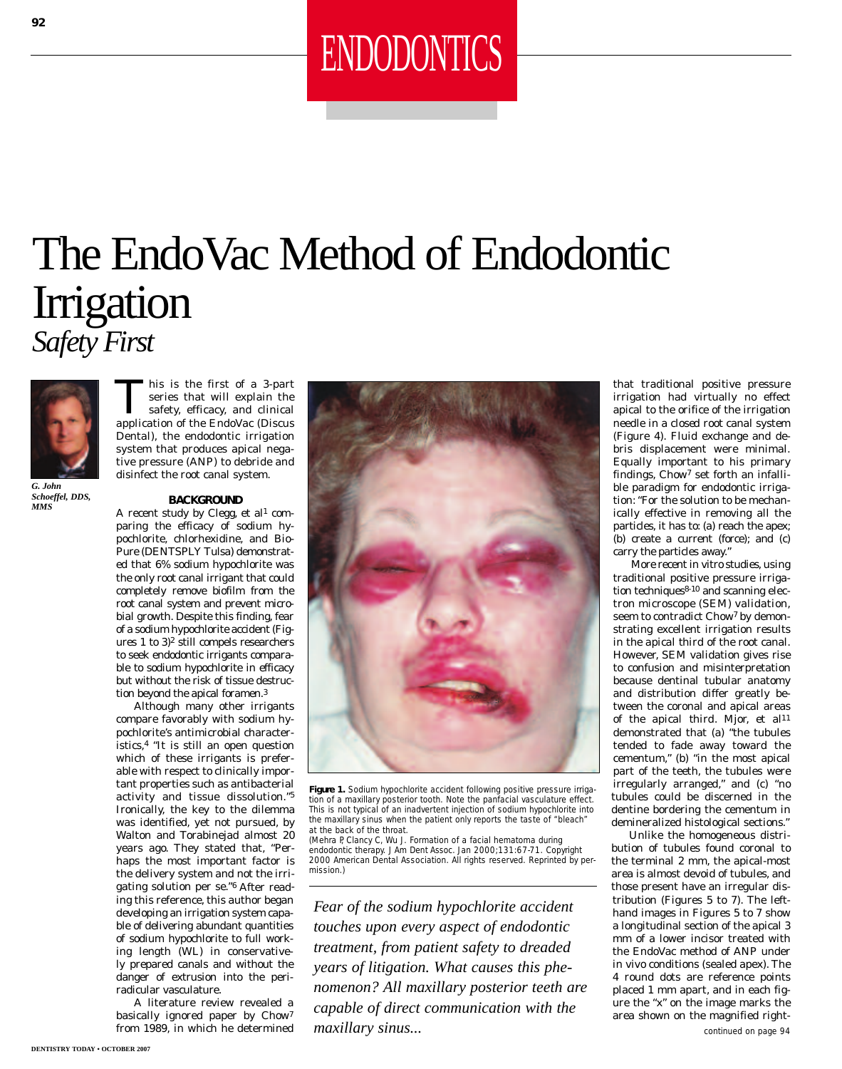# ENDODONTICS

### The EndoVac Method of Endodontic Irrigation *Safety First*



*Schoeffel, DDS, MMS*

This is the first of a 3-part<br>series that will explain the<br>safety, efficacy, and clinical<br>application of the EndoVac (Discus series that will explain the safety, efficacy, and clinical application of the EndoVac (Discus Dental), the endodontic irrigation system that produces apical negative pressure (ANP) to debride and disinfect the root canal system.

#### **BACKGROUND**

A recent study by Clegg, et al<sup>1</sup> comparing the efficacy of sodium hypochlorite, chlorhexidine, and Bio-Pure (DENTSPLY Tulsa) demonstrated that 6% sodium hypochlorite was the only root canal irrigant that could completely remove biofilm from the root canal system and prevent microbial growth. Despite this finding, fear of a sodium hypochlorite accident (Figures 1 to 3)2 still compels researchers to seek endodontic irrigants comparable to sodium hypochlorite in efficacy but without the risk of tissue destruction beyond the apical foramen.3

Although many other irrigants compare favorably with sodium hypochlorite's antimicrobial characteristics,4 "It is still an open question which of these irrigants is preferable with respect to clinically important properties such as antibacterial activity and tissue dissolution."5 Ironically, the key to the dilemma was identified, yet not pursued, by Walton and Torabinejad almost 20 years ago. They stated that, "Perhaps the most important factor is the delivery system and not the irrigating solution per se."6 After reading this reference, this author began developing an irrigation system capable of delivering abundant quantities of sodium hypochlorite to full working length (WL) in conservatively prepared canals and without the danger of extrusion into the periradicular vasculature.

A literature review revealed a basically ignored paper by Chow7 from 1989, in which he determined



Figure 1. Sodium hypochlorite accident following positive pressure irrigation of a maxillary posterior tooth. Note the panfacial vasculature effect. This is not typical of an inadvertent injection of sodium hypochlorite into the maxillary sinus when the patient only reports the taste of "bleach" at the back of the throat.

(Mehra P, Clancy C, Wu J. Formation of a facial hematoma during endodontic therapy. *J Am Dent Assoc.* Jan 2000;131:67-71. Copyright 2000 American Dental Association. All rights reserved. Reprinted by permission.)

*Fear of the sodium hypochlorite accident touches upon every aspect of endodontic treatment, from patient safety to dreaded years of litigation. What causes this phenomenon? All maxillary posterior teeth are capable of direct communication with the maxillary sinus...* 

that traditional positive pressure irrigation had virtually no effect apical to the orifice of the irrigation needle in a *closed* root canal system (Figure 4). Fluid exchange and debris displacement were minimal. Equally important to his primary findings, Chow7 set forth an infallible paradigm for endodontic irrigation: "For the solution to be mechanically effective in removing all the particles, it has to: (a) reach the apex; (b) create a current (force); and (c) carry the particles away."

More recent in vitro studies, using traditional positive pressure irrigation techniques<sup>8-10</sup> and scanning electron microscope (SEM) validation, seem to contradict Chow7 by demonstrating excellent irrigation results in the *apical third* of the root canal. However, SEM validation gives rise to confusion and misinterpretation because dentinal tubular anatomy and distribution differ greatly between the coronal and apical areas of the *apical third*. Mjor, et al<sup>11</sup> demonstrated that (a) "the tubules tended to fade away toward the cementum," (b) "in the most apical part of the teeth, the tubules were irregularly arranged," and (c) "no tubules could be discerned in the dentine bordering the cementum in demineralized histological sections."

Unlike the homogeneous distribution of tubules found coronal to the terminal 2 mm, the apical-most area is almost devoid of tubules, and those present have an irregular distribution (Figures 5 to 7). The lefthand images in Figures 5 to 7 show a longitudinal section of the apical 3 mm of a lower incisor treated with the EndoVac method of ANP under in vivo conditions (sealed apex). The 4 round dots are reference points placed 1 mm apart, and in each figure the "x" on the image marks the area shown on the magnified right-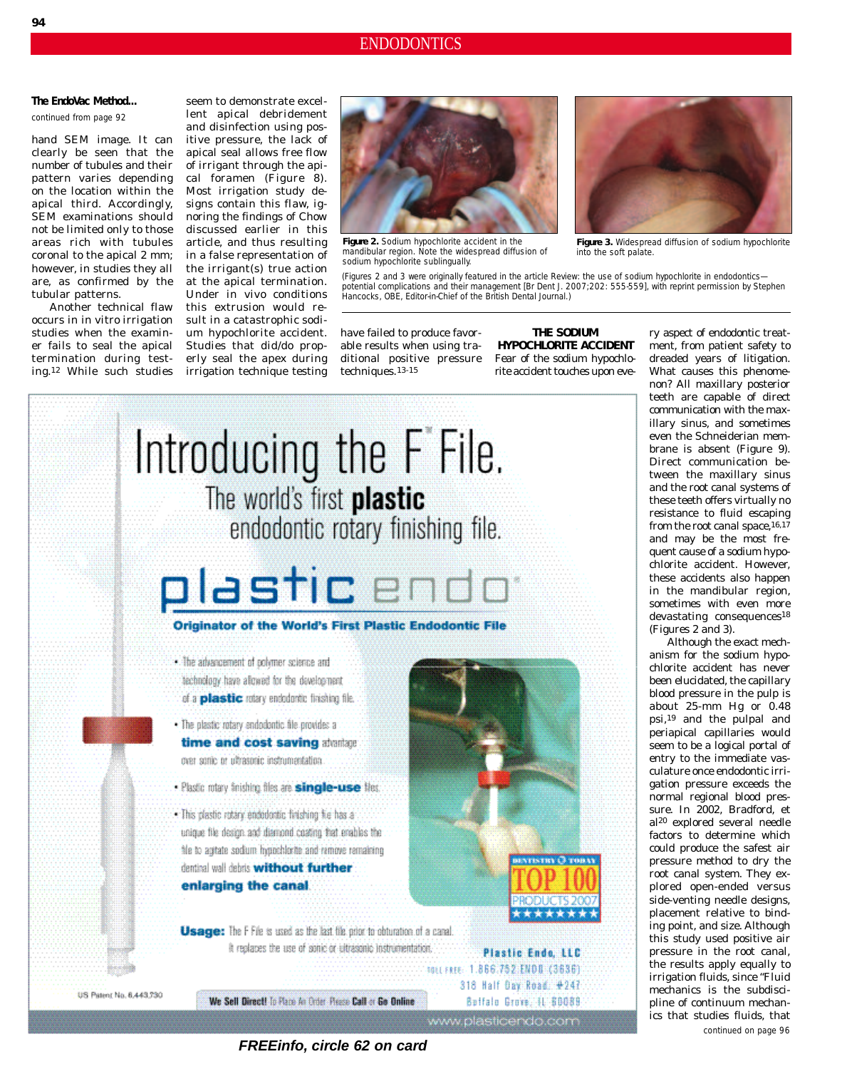### **The EndoVac Method...**

*continued from page 92*

hand SEM image. It can clearly be seen that the number of tubules and their pattern varies depending on the location within the apical third. Accordingly, SEM examinations should not be limited only to those areas rich with tubules coronal to the apical 2 mm; however, in studies they all are, as confirmed by the tubular patterns.

Another technical flaw occurs in in vitro irrigation studies when the examiner fails to seal the apical termination during testing.12 While such studies

seem to demonstrate excellent apical debridement and disinfection using positive pressure, the lack of apical seal allows free flow of irrigant through the apical foramen (Figure 8). Most irrigation study designs contain this flaw, ignoring the findings of Chow discussed earlier in this article, and thus resulting in a false representation of the irrigant(s) true action at the apical termination. Under in vivo conditions this extrusion would result in a catastrophic sodium hypochlorite accident. Studies that did/do properly seal the apex during irrigation technique testing



**Figure 2.** Sodium hypochlorite accident in the mandibular region. Note the widespread diffusion of sodium hypochlorite sublingually.



**Figure 3.** Widespread diffusion of sodium hypochlorite into the soft palate.

(Figures 2 and 3 were originally featured in the article Review: the use of sodium hypochlorite in endodontics potential complications and their management [*Br Dent J.* 2007;202: 555-559], with reprint permission by Stephen Hancocks, OBE, Editor-in-Chief of the *British Dental Journal*.)

have failed to produce favorable results when using traditional positive pressure techniques.13-15

**THE SODIUM HYPOCHLORITE ACCIDENT** Fear of the sodium hypochlorite accident touches upon eve-

# Introducing the F File. The world's first **plastic** endodontic rotary finishing file.

### olastic

Originator of the World's First Plastic Endodontic File

- . The advancement of polymer science and technology have allowed for the development of a plastic rotary endodomic finishing file.
- . The plastic rotary endodontic file provides a time and cost saving atomage over some or ultrasonic instrumentation.
- · Plastic rotary finishing files are single-use fles.
- . This plastic rotary endedoratic finishing file has a unique file design and diamond coating that enables the file to agitate sodium hypochlorite and remove remaining dentinal wall debris without further enlarging the canal

Usage: The F File is used as the last tile prior to obturation of a canal. It replaces the use of sonic or ultrasonic instrumentation.



We Sell Direct! To Place An Order Please Call or Go Online



Plastic Endo, LLC TOLL FREE: 1.866.752.ENDB (3836) 318 Half Day Road: #247 Batfalo Grove, 11-80089

www.plasticendo.com

ry aspect of endodontic treatment, from patient safety to dreaded years of litigation. What causes this phenomenon? All maxillary posterior teeth are capable of direct communication with the maxillary sinus, and sometimes even the Schneiderian membrane is absent (Figure 9). Direct communication between the maxillary sinus and the root canal systems of these teeth offers virtually no resistance to fluid escaping from the root canal space,  $16,17$ and may be the most frequent cause of a sodium hypochlorite accident. However, these accidents also happen in the mandibular region, sometimes with even more devastating consequences<sup>18</sup> (Figures 2 and 3).

Although the exact mechanism for the sodium hypochlorite accident has never been elucidated, the capillary blood pressure in the pulp is about 25-mm Hg or 0.48 psi,19 and the pulpal and periapical capillaries would seem to be a logical portal of entry to the immediate vasculature once endodontic irrigation pressure exceeds the normal regional blood pressure. In 2002, Bradford, et al20 explored several needle factors to determine which could produce the safest air pressure method to dry the root canal system. They explored open-ended versus side-venting needle designs, placement relative to binding point, and size. Although this study used positive air pressure in the root canal, the results apply equally to irrigation fluids, since "Fluid mechanics is the subdiscipline of continuum mechanics that studies fluids, that

*continued on page 96*

**FREEinfo, circle 62 on card**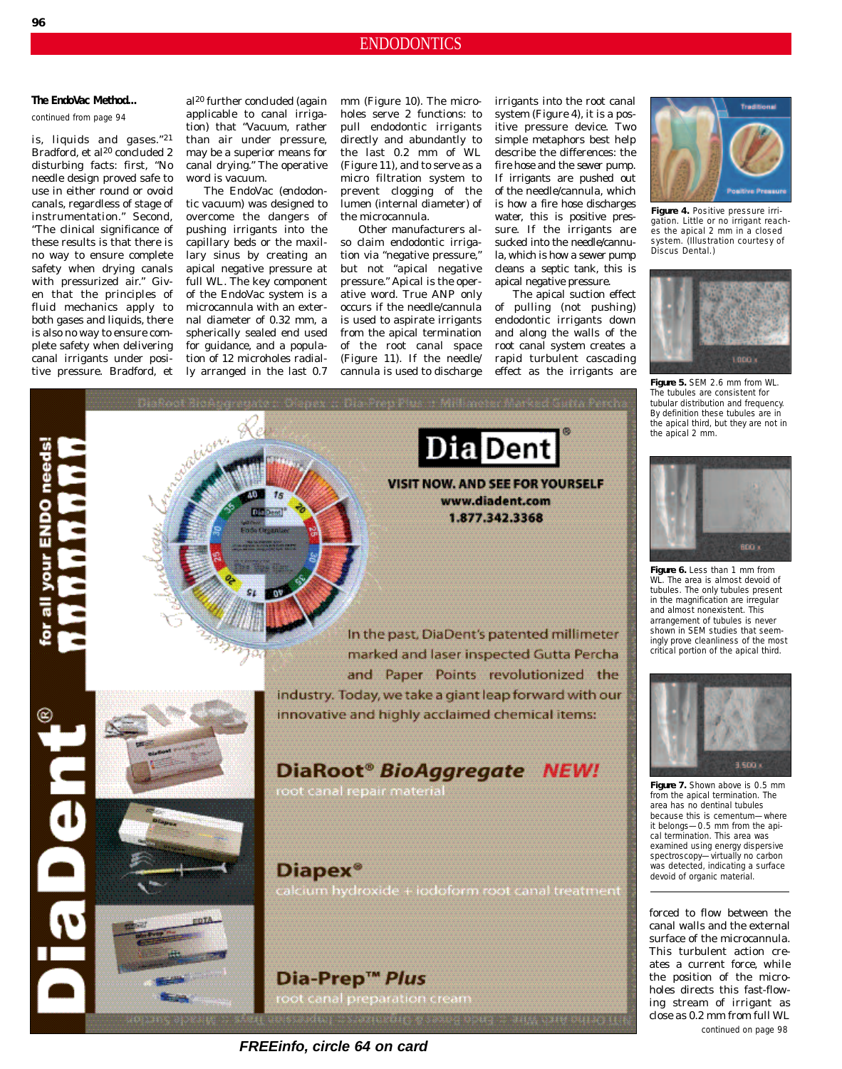### **The EndoVac Method...**

**96**

*continued from page 94*

is, liquids and gases."21 Bradford, et al<sup>20</sup> concluded 2 disturbing facts: first, "No needle design proved safe to use in either round or ovoid canals, regardless of stage of instrumentation." Second, "The clinical significance of these results is that there is no way to ensure complete safety when drying canals with pressurized air." Given that the principles of fluid mechanics apply to both gases and liquids, there is also no way to ensure complete safety when delivering canal irrigants under posial20 further concluded (again applicable to canal irrigation) that "Vacuum, rather than air under pressure, may be a superior means for canal drying." The operative word is *vacuum*.

The EndoVac (*endo*dontic *vac*uum) was designed to overcome the dangers of pushing irrigants into the capillary beds or the maxillary sinus by creating an apical negative pressure at full WL. The key component of the EndoVac system is a microcannula with an external diameter of 0.32 mm, a spherically sealed end used for guidance, and a population of 12 microholes radialmm (Figure 10). The microholes serve 2 functions: to pull endodontic irrigants directly and abundantly to the last 0.2 mm of WL (Figure 11), and to serve as a micro filtration system to prevent clogging of the lumen (internal diameter) of the microcannula.

Other manufacturers also claim endodontic irrigation via "negative pressure," but not "apical negative pressure." *Apical* is the operative word. True ANP *only* occurs if the needle/cannula is used to aspirate irrigants *from* the apical termination of the root canal space (Figure 11). If the needle/

irrigants *into* the root canal system (Figure 4), it is a positive pressure device. Two simple metaphors best help describe the differences: the *fire hose* and the *sewer pump*. If irrigants are pushed out of the needle/cannula, which is how a fire hose discharges water, this is positive pressure. If the irrigants are sucked into the needle/cannula, which is how a sewer pump cleans a septic tank, this is apical negative pressure.

The apical suction effect of pulling (not pushing) endodontic irrigants down and along the walls of the root canal system creates a rapid turbulent cascading



**Figure 4.** Positive pressure irrigation. Little or no irrigant reaches the apical 2 mm in a closed system. (Illustration courtesy of Discus Dental.)



**Figure 5.** SEM 2.6 mm from WL. The tubules are consistent for tubular distribution and frequency. By definition these tubules are in the apical third, but they are not in the apical 2 mm.



**Figure 6.** Less than 1 mm from WL. The area is almost devoid of tubules. The only tubules present in the magnification are irregular and almost nonexistent. This arrangement of tubules is never shown in SEM studies that seemingly prove cleanliness of the most critical portion of the apical third.



**Figure 7.** Shown above is 0.5 mm from the apical termination. The area has no dentinal tubules because this is cementum—where it belongs—0.5 mm from the apical termination. This area was examined using energy dispersive spectroscopy—virtually no carbon was detected, indicating a surface devoid of organic material.

forced to flow between the canal walls and the external surface of the microcannula. This turbulent action creates a current force, while the position of the microholes directs this fast-flowing stream of irrigant as close as 0.2 mm from full WL *continued on page 98*



**FREEinfo, circle 64 on card**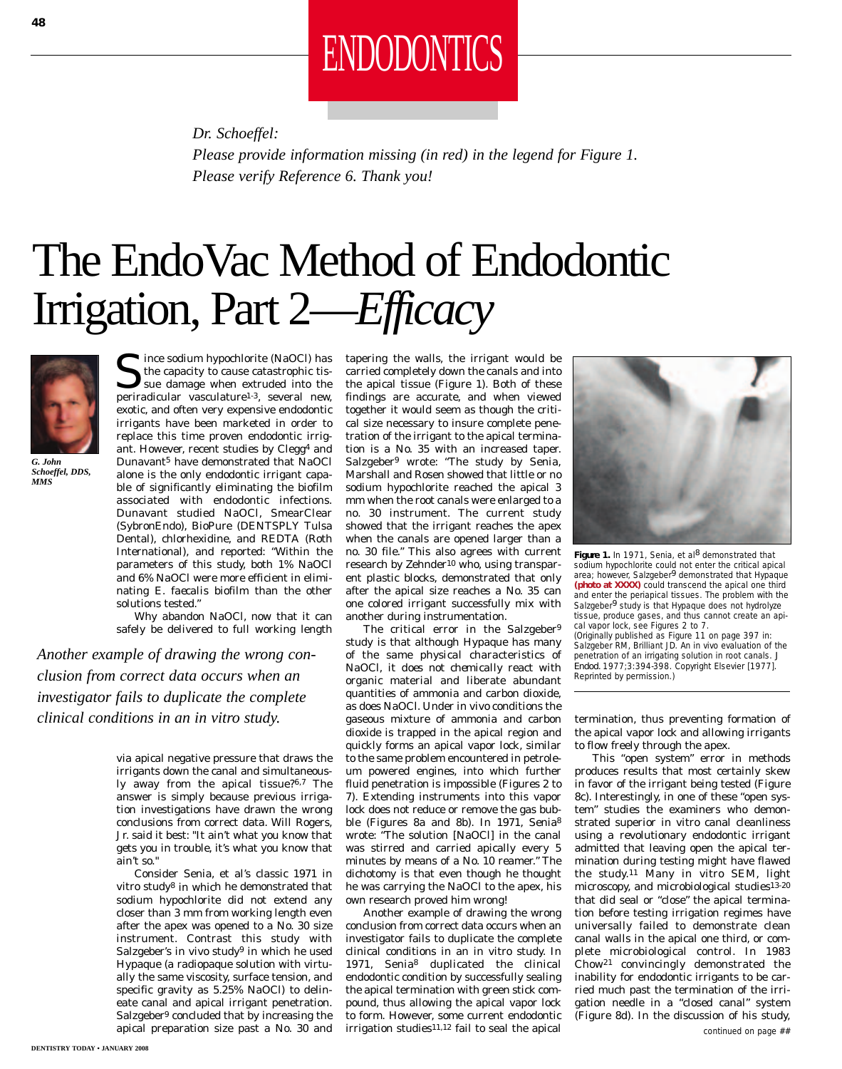

*Dr. Schoeffel:*

*Please provide information missing (in red) in the legend for Figure 1. Please verify Reference 6. Thank you!*

## The EndoVac Method of Endodontic Irrigation, Part 2—*Efficacy*



*G. John Schoeffel, DDS, MMS*

 $\sum$  ince sodium hypochlorite (NaOCl) has the capacity to cause catastrophic tissue damage when extruded into the periradicular vasculature1-3, several new, exotic, and often very expensive endodontic irrigants have been marketed in order to replace this time proven endodontic irrigant. However, recent studies by Clegg4 and Dunavant5 have demonstrated that NaOCl alone is the only endodontic irrigant capable of significantly eliminating the biofilm associated with endodontic infections. Dunavant studied NaOCl, SmearClear (SybronEndo), BioPure (DENTSPLY Tulsa Dental), chlorhexidine, and REDTA (Roth International), and reported: "Within the parameters of this study, both 1% NaOCl and 6% NaOCl were more efficient in eliminating *E. faecalis* biofilm than the other solutions tested."

Why abandon NaOCl, now that it can safely be delivered to full working length

*Another example of drawing the wrong conclusion from correct data occurs when an investigator fails to duplicate the complete clinical conditions in an in vitro study.*

> via apical negative pressure that draws the irrigants down the canal and simultaneously away from the apical tissue?6,7 The answer is simply because previous irrigation investigations have drawn the wrong conclusions from correct data. Will Rogers, Jr. said it best: "It ain't what you know that gets you in trouble, it's what you know that ain't so."

> Consider Senia, et al's classic 1971 in vitro study8 in which he demonstrated that sodium hypochlorite did not extend any closer than 3 mm from working length even after the apex was opened to a No. 30 size instrument. Contrast this study with Salzgeber's in vivo study<sup>9</sup> in which he used Hypaque (a radiopaque solution with virtually the same viscosity, surface tension, and specific gravity as 5.25% NaOCl) to delineate canal and apical irrigant penetration. Salzgeber9 concluded that by increasing the apical preparation size past a No. 30 and

tapering the walls, the irrigant would be carried completely down the canals and into the apical tissue (Figure 1). Both of these findings are accurate, and when viewed together it would seem as though the critical size necessary to insure complete penetration of the irrigant to the apical termination is a No. 35 with an increased taper. Salzgeber9 wrote: "The study by Senia, Marshall and Rosen showed that little or no sodium hypochlorite reached the apical 3 mm when the root canals were enlarged to a no. 30 instrument. The current study showed that the irrigant reaches the apex when the canals are opened larger than a no. 30 file." This also agrees with current research by Zehnder<sup>10</sup> who, using transparent plastic blocks, demonstrated that only after the apical size reaches a No. 35 can one colored irrigant successfully mix with another during instrumentation.

The critical error in the Salzgeber<sup>9</sup> study is that although Hypaque has many of the same *physical* characteristics of NaOCl, it *does not chemically* react with organic material and liberate abundant quantities of ammonia and carbon dioxide, as does NaOCl. Under in vivo conditions the gaseous mixture of ammonia and carbon dioxide is trapped in the apical region and quickly forms an apical vapor lock, similar to the same problem encountered in petroleum powered engines, into which further fluid penetration is impossible (Figures 2 to 7). Extending instruments into this vapor lock does not reduce or remove the gas bubble (Figures 8a and 8b). In 1971, Senia8 wrote: "The solution [NaOCl] in the canal was stirred and carried apically every 5 minutes by means of a No. 10 reamer." The dichotomy is that even though he thought he was carrying the NaOCl to the apex, his own research proved him wrong!

Another example of drawing the wrong conclusion from correct data occurs when an investigator fails to duplicate the complete clinical conditions in an in vitro study. In 1971, Senia8 duplicated the clinical endodontic condition by successfully sealing the apical termination with green stick compound, thus allowing the apical vapor lock to form. However, some current endodontic irrigation studies $11,12$  fail to seal the apical



Figure 1. In 1971, Senia, et al<sup>8</sup> demonstrated that sodium hypochlorite could not enter the critical apical<br>area; however, Salzgeber<sup>9</sup> demonstrated that Hypaque **(photo at XXXX)** could transcend the apical one third and enter the periapical tissues. The problem with the Salzgeber<sup>9</sup> study is that Hypaque does not hydrolyze tissue, produce gases, and thus cannot create an apical vapor lock, see Figures 2 to 7. (Originally published as Figure 11 on page 397 in: Salzgeber RM, Brilliant JD. An in vivo evaluation of the penetration of an irrigating solution in root canals. *J Endod.* 1977;3:394-398. Copyright Elsevier [1977]. Reprinted by permission.)

termination, thus preventing formation of the apical vapor lock and allowing irrigants to flow freely through the apex.

This "open system" error in methods produces results that most certainly skew in favor of the irrigant being tested (Figure 8c). Interestingly, in one of these "open system" studies the examiners who demonstrated superior in vitro canal cleanliness using a revolutionary endodontic irrigant admitted that leaving open the apical termination during testing might have flawed the study.11 Many in vitro SEM, light microscopy, and microbiological studies13-20 that did seal or "close" the apical termination before testing irrigation regimes have universally failed to demonstrate clean canal walls in the apical one third, or complete microbiological control. In 1983 Chow21 convincingly demonstrated the inability for endodontic irrigants to be carried much past the termination of the irrigation needle in a "closed canal" system (Figure 8d). In the discussion of his study,

*continued on page ##*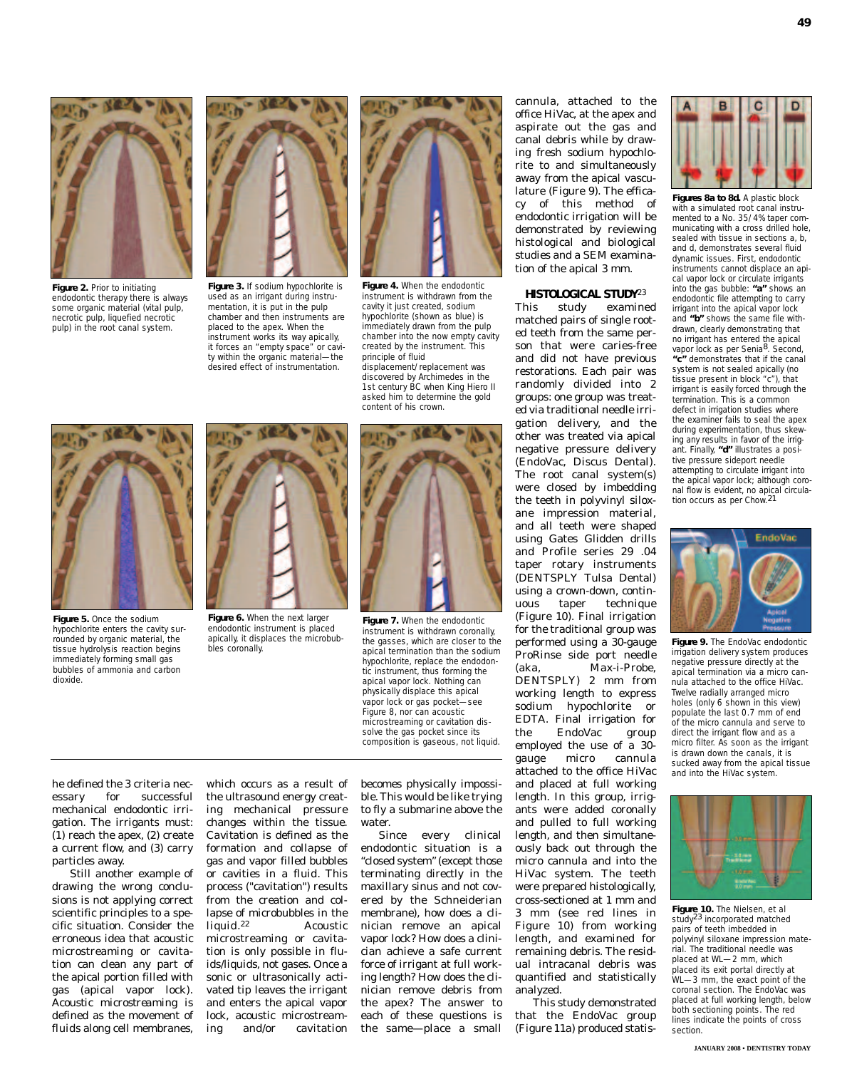

**Figure 2.** Prior to initiating endodontic therapy there is always some organic material (vital pulp, necrotic pulp, liquefied necrotic pulp) in the root canal system.



**Figure 3.** If sodium hypochlorite is used as an irrigant during instrumentation, it is put in the pulp chamber and then instruments are placed to the apex. When the instrument works its way apically, it forces an "empty space" or cavity within the organic material—the desired effect of instrumentation.



**Figure 4.** When the endodontic instrument is withdrawn from the cavity it just created, sodium hypochlorite (shown as blue) is immediately drawn from the pulp chamber into the now empty cavity created by the instrument. This principle of fluid displacement/replacement was

discovered by Archimedes in the 1st century BC when King Hiero II asked him to determine the gold content of his crown.

office HiVac, at the apex and aspirate out the gas and canal debris while by drawing fresh sodium hypochlorite to and simultaneously away from the apical vasculature (Figure 9). The efficacy of this method of endodontic irrigation will be demonstrated by reviewing histological and biological studies and a SEM examination of the apical 3 mm.

cannula, attached to the

### **HISTOLOGICAL STUDY**23

This study examined matched pairs of single rooted teeth from the same person that were caries-free and did not have previous restorations. Each pair was randomly divided into 2 groups: one group was treated via traditional needle irrigation delivery, and the other was treated via apical negative pressure delivery (EndoVac, Discus Dental). The root canal system(s) were closed by imbedding the teeth in polyvinyl siloxane impression material, and all teeth were shaped using Gates Glidden drills and Profile series 29 .04 taper rotary instruments (DENTSPLY Tulsa Dental) using a crown-down, continuous taper technique (Figure 10). Final irrigation for the traditional group was performed using a 30-gauge ProRinse side port needle (aka, Max-i-Probe, DENTSPLY) 2 mm from working length to express sodium hypochlorite or EDTA. Final irrigation for the EndoVac group employed the use of a 30 gauge micro cannula attached to the office HiVac and placed at full working length. In this group, irrigants were added coronally and pulled to full working length, and then simultaneously back out through the micro cannula and into the HiVac system. The teeth were prepared histologically, cross-sectioned at 1 mm and 3 mm (see red lines in Figure 10) from working length, and examined for remaining debris. The residual intracanal debris was quantified and statistically

This study demonstrated that the EndoVac group (Figure 11a) produced statis-



**49**

with a simulated root canal instrumented to a No. 35/4% taper communicating with a cross drilled hole, sealed with tissue in sections a, b, and d, demonstrates several fluid dynamic issues. First, endodontic instruments cannot displace an api cal vapor lock or circulate irrigants into the gas bubble: **"a"** shows an endodontic file attempting to carry irrigant into the apical vapor lock and **"b"** shows the same file withdrawn, clearly demonstrating that no irrigant has entered the apical vapor lock as per Senia<sup>8</sup>. Second, **"c"** demonstrates that if the canal system is not sealed apically (no tissue present in block "c"), that irrigant is easily forced through the termination. This is a common defect in irrigation studies where the examiner fails to seal the apex during experimentation, thus skewing any results in favor of the irrigant. Finally, **"d"** illustrates a positive pressure sideport needle attempting to circulate irrigant into the apical vapor lock; although coronal flow is evident, no apical circulation occurs as per Chow.21



**Figure 9.** The EndoVac endodontic irrigation delivery system produces negative pressure directly at the apical termination via a micro cannula attached to the office HiVac. Twelve radially arranged micro holes (only 6 shown in this view) populate the last 0.7 mm of end of the micro cannula and serve to direct the irrigant flow and as a micro filter. As soon as the irrigant is drawn down the canals, it is sucked away from the apical tissue and into the HiVac system.



**Figure 10.** The Nielsen, et al study23 incorporated matched pairs of teeth imbedded in polyvinyl siloxane impression material. The traditional needle was placed at WL—2 mm, which placed its exit portal directly at WL—3 mm, the exact point of the coronal section. The EndoVac was placed at full working length, below both sectioning points. The red lines indicate the points of cross section.



**Figure 5.** Once the sodium hypochlorite enters the cavity surrounded by organic material, the tissue hydrolysis reaction begins immediately forming small gas bubbles of ammonia and carbon dioxide.



endodontic instrument is placed apically, it displaces the microbubbles coronally.



**Figure 7.** When the endodontic instrument is withdrawn coronally, the gasses, which are closer to the apical termination than the sodium hypochlorite, replace the endodontic instrument, thus forming the apical vapor lock. Nothing can physically displace this apical vapor lock or gas pocket—see Figure 8, nor can acoustic microstreaming or cavitation dissolve the gas pocket since its composition is gaseous, not liquid.

he defined the 3 criteria necessary for successful mechanical endodontic irrigation. The irrigants must: (1) reach the apex, (2) create a current flow, and (3) carry particles away.

Still another example of drawing the wrong conclusions is not applying correct scientific principles to a specific situation. Consider the erroneous idea that acoustic microstreaming or cavitation can clean any part of the apical portion filled with gas (apical vapor lock). *Acoustic microstreaming* is defined as the movement of *fluids* along cell membranes,

which occurs as a result of the ultrasound energy creating mechanical pressure changes within the tissue. *Cavitation* is defined as the formation and collapse of gas and vapor filled bubbles or cavities in a *fluid*. This process ("cavitation") results from the creation and collapse of microbubbles in the *liquid.*<sup>22</sup> Acoustic microstreaming or cavitation is only possible in fluids/liquids, not gases. Once a sonic or ultrasonically activated tip leaves the irrigant and enters the apical vapor lock, acoustic microstreaming and/or cavitation

becomes physically impossible. This would be like trying to fly a submarine above the water.

Since every clinical endodontic situation is a "closed system" (except those terminating directly in the maxillary sinus and not covered by the Schneiderian membrane), how does a clinician remove an apical vapor lock? How does a clinician achieve a safe current force of irrigant at full working length? How does the clinician remove debris from the apex? The answer to each of these questions is the same—place a small

analyzed.

**JANUARY 2008 • DENTISTRY TODAY**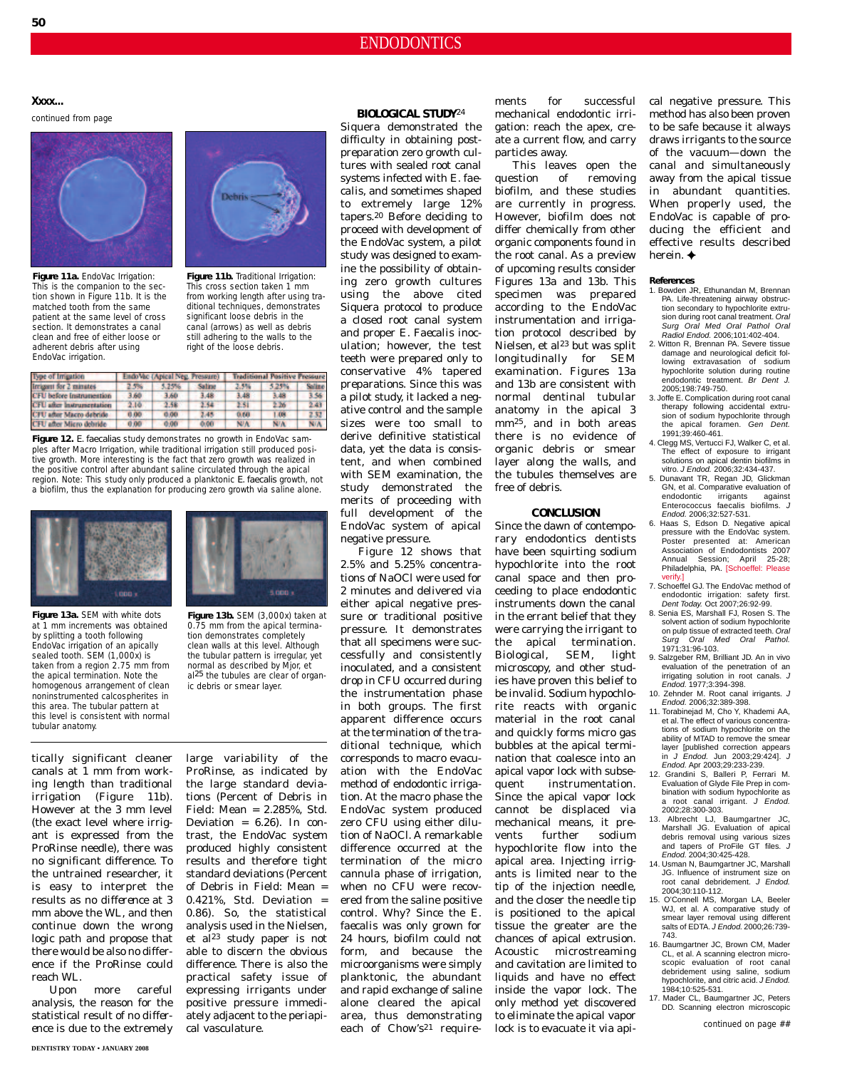### ENDODONTICS

**Xxxx...**

*continued from page*



**Figure 11a.** EndoVac Irrigation: This is the companion to the section shown in Figure 11b. It is the matched tooth from the same patient at the same level of cross .<br>section. It demonstrates a canal clean and free of either loose or adherent debris after using EndoVac irrigation.



**Figure 11b.** Traditional Irrigation: This cross section taken 1 mm from working length after using traditional techniques, demonstrates significant loose debris in the canal (arrows) as well as debris still adhering to the walls to the right of the loose debris.

| Type of Imigation                | EndoVac (Apical Neg. Pressure) |       |        | <b>Traditional Positive Pressure</b> |       |        |
|----------------------------------|--------------------------------|-------|--------|--------------------------------------|-------|--------|
| Innigent for 2 minutes           | 2.5%                           | 5.25% | Salina | 3.5%                                 | 5.25% | Soling |
| CFU before instrumention         | 3.60                           | 3.60  | 3.48   | 3.48                                 | 3,48  | 3.56   |
| <b>CFU</b> after instrumentation | 2.10                           | 2.58  | 2.54   | 2.51                                 | 226   | 2,43   |
| <b>CFU</b> after Macro debride   | 0.00                           | 0.00  | 1.45   | 0.60                                 | 1.09  | 232    |
| CFU after Micro debride          | 0.00                           | 0.00  | 0.00   | NW                                   | NUA   | NIA    |

**Figure 12.** *E. faecalias* study demonstrates no growth in EndoVac samples after Macro Irrigation, while traditional irrigation still produced positive growth. More interesting is the fact that zero growth was realized in the positive control after abundant saline circulated through the apical region. Note: This study only produced a planktonic *E. faecalis* growth, not a biofilm, thus the explanation for producing zero growth via saline alone.



**Figure 13a.** SEM with white dots at 1 mm increments was obtained by splitting a tooth following EndoVac irrigation of an apically sealed tooth. SEM (1,000x) is taken from a region 2.75 mm from the apical termination. Note the homogenous arrangement of clean noninstrumented calcospherites in this area. The tubular pattern at this level is consistent with normal tubular anatomy.



**Figure 13b.** SEM (3,000x) taken at 0.75 mm from the apical termination demonstrates completely clean walls at this level. Although the tubular pattern is irregular, yet normal as described by Mjor, et al<sup>25</sup> the tubules are clear of organic debris or smear layer.

large variability of the

tically significant cleaner canals at 1 mm from working length than traditional irrigation (Figure 11b). However at the 3 mm level (the exact level where irrigant is expressed from the ProRinse needle), there was no *significant* difference. To the untrained researcher, it is easy to interpret the results as *no difference* at 3 mm above the WL, and then continue down the wrong logic path and propose that there would be also no difference if the ProRinse could reach WL.

Upon more careful analysis, the reason for the statistical result of *no difference* is due to the extremely

ProRinse, as indicated by the large standard deviations (Percent of Debris in Field: Mean = 2.285%, Std. Deviation =  $6.26$ ). In contrast, the EndoVac system produced highly consistent results and therefore tight standard deviations (Percent of Debris in Field: Mean = 0.421%, Std. Deviation  $=$ 0.86). So, the statistical analysis used in the Nielsen, et al<sup>23</sup> study paper is not able to discern the obvious difference. There is also the practical safety issue of expressing irrigants under positive pressure immediately adjacent to the periapical vasculature.

#### **BIOLOGICAL STUDY**24

Siquera demonstrated the difficulty in obtaining postpreparation zero growth cultures with sealed root canal systems infected with *E. faecalis*, and sometimes shaped to extremely large 12% tapers.20 Before deciding to proceed with development of the EndoVac system, a pilot study was designed to examine the possibility of obtaining zero growth cultures using the above cited Siquera protocol to produce a closed root canal system and proper *E. Faecalis* inoculation; however, the test teeth were prepared only to conservative 4% tapered preparations. Since this was a pilot study, it lacked a negative control and the sample sizes were too small to derive definitive statistical data, yet the data is consistent, and when combined with SEM examination, the study demonstrated the merits of proceeding with full development of the EndoVac system of apical negative pressure.

Figure 12 shows that 2.5% and 5.25% concentrations of NaOCl were used for 2 minutes and delivered via either apical negative pressure or traditional positive pressure. It demonstrates that all specimens were successfully and consistently inoculated, and a consistent drop in CFU occurred during the instrumentation phase in both groups. The first apparent difference occurs at the termination of the traditional technique, which corresponds to macro evacuation with the EndoVac method of endodontic irrigation. At the macro phase the EndoVac system produced zero CFU using either dilution of NaOCl. A remarkable difference occurred at the termination of the micro cannula phase of irrigation, when no CFU were recovered from the saline positive control. Why? Since the *E. faecalis* was only grown for 24 hours, biofilm could not form, and because the microorganisms were simply planktonic, the abundant and rapid exchange of saline alone cleared the apical area, thus demonstrating each of Chow's<sup>21</sup> requirements for successful mechanical endodontic irrigation: reach the apex, create a current flow, and carry particles away.

This leaves open the question of removing biofilm, and these studies are currently in progress. However, biofilm does not differ chemically from other organic components found in the root canal. As a preview of upcoming results consider Figures 13a and 13b. This specimen was prepared according to the EndoVac instrumentation and irrigation protocol described by Nielsen, et al<sup>23</sup> but was split longitudinally for SEM examination. Figures 13a and 13b are consistent with normal dentinal tubular anatomy in the apical 3 mm25, and in both areas there is no evidence of organic debris or smear layer along the walls, and the tubules themselves are free of debris.

#### **CONCLUSION**

Since the dawn of contemporary endodontics dentists have been squirting sodium hypochlorite into the root canal space and then proceeding to place endodontic instruments down the canal in the errant belief that they were carrying the irrigant to the apical termination. Biological, SEM, light microscopy, and other studies have proven this belief to be invalid. Sodium hypochlorite reacts with organic material in the root canal and quickly forms micro gas bubbles at the apical termination that coalesce into an apical vapor lock with subsequent instrumentation. Since the apical vapor lock cannot be displaced via mechanical means, it prevents further sodium hypochlorite flow into the apical area. Injecting irrigants is limited near to the tip of the injection needle, and the closer the needle tip is positioned to the apical tissue the greater are the chances of apical extrusion. Acoustic microstreaming and cavitation are limited to liquids and have no effect inside the vapor lock. The only method yet discovered to eliminate the apical vapor lock is to evacuate it via apical negative pressure. This method has also been proven to be safe because it always draws irrigants to the source of the vacuum—down the canal and simultaneously away from the apical tissue in abundant quantities. When properly used, the EndoVac is capable of producing the efficient and effective results described herein. **✦**

#### **References**

- 1. Bowden JR, Ethunandan M, Brennan PA. Life-threatening airway obstruction secondary to hypochlorite extru-<br>sion during root canal treatment. Oral<br>Surg Oral Med Oral Pathol Oral Radiol Endod. 2006;101:402-404.
- 2. Witton R, Brennan PA. Severe tissue damage and neurological deficit following extravasation of sodium hypochlorite solution during routine endodontic treatment. Br Dent J. 2005;198:749-750.
- 3. Joffe E. Complication during root canal therapy following accidental extrusion of sodium hypochlorite through the apical foramen. Gen Dent. 1991;39:460-461.
- 4. Clegg MS, Vertucci FJ, Walker C, et al. The effect of exposure to irrigant solutions on apical dentin biofilms in vitro. J Endod. 2006;32:434-437.
- 5. Dunavant TR, Regan JD, Glickman GN, et al. Comparative evaluation of endodontic irrigants against Enterococcus faecalis biofilms. J Endod. 2006;32:527-531.
- Haas S, Edson D. Negative apical pressure with the EndoVac system. Poster presented at: American **Association of Endodontists 2007**<br>Annual Session: April 25-28; Annual Session; April 25-28; Philadelphia, PA. [Schoeffel: Please verify.]
- 7. Schoeffel GJ. The EndoVac method of endodontic irrigation: safety first. Dent Today. Oct 2007;26:92-99.
- 8. Senia ES, Marshall FJ, Rosen S. The solvent action of sodium hypochlorite on pulp tissue of extracted teeth. Oral Oral Med Oral Pathol. Surg Oral M<br>1971;31:96-103.
- 9. Salzgeber RM, Brilliant JD. An in vivo evaluation of the penetration of an irrigating solution in root canals. J Endod. 1977;3:394-398.
- 10. Zehnder M. Root canal irrigants. J Endod. 2006;32:389-398. 11. Torabinejad M, Cho Y, Khademi AA,
- et al. The effect of various concentrations of sodium hypochlorite on the ability of MTAD to remove the smear layer [published correction appears<br>in J Endod. Jun 2003;29:424]. J Endod. Apr 2003;29:233-239.
- 12. Grandini S, Balleri P, Ferrari M. Evaluation of Glyde File Prep in combination with sodium hypochlorite as a root canal irrigant. J Endod. 2002;28:300-303.
- 13. Albrecht LJ, Baumgartner JC, Marshall JG. Evaluation of apical debris removal using various sizes and tapers of ProFile GT files. J Endod. 2004;30:425-428.
- 14. Usman N, Baumgartner JC, Marshall JG. Influence of instrument size on root canal debridement. J Endod. 2004;30:110-112.
- 15. O'Connell MS, Morgan LA, Beeler WJ, et al. A comparative study of smear layer removal using different salts of EDTA. J Endod. 2000;26:739-743.
- 16. Baumgartner JC, Brown CM, Mader CL, et al. A scanning electron microscopic evaluation of root canal debridement using saline, sodium hypochlorite, and citric acid. J Endod. 1984;10:525-531.
- 17. Mader CL, Baumgartner JC, Peters DD. Scanning electron microscopic